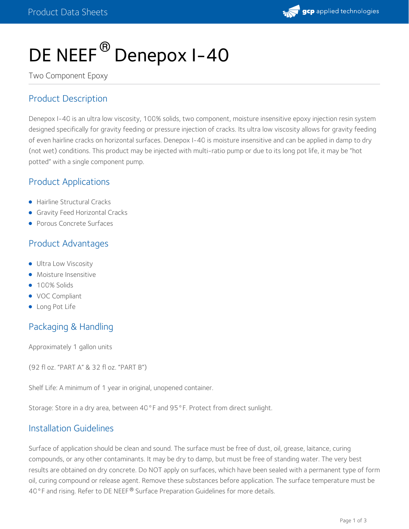

# DE NEEF $^\circledR$  Denepox I–40

Two Component Epoxy

### Product Description

Denepox I-40 is an ultra low viscosity, 100% solids, two component, moisture insensitive epoxy injection resin system designed specifically for gravity feeding or pressure injection of cracks. Its ultra low viscosity allows for gravity feeding of even hairline cracks on horizontal surfaces. Denepox I-40 is moisture insensitive and can be applied in damp to dry (not wet) conditions. This product may be injected with multi-ratio pump or due to its long pot life, it may be "hot potted" with a single component pump.

#### Product Applications

- **Hairline Structural Cracks**
- **Gravity Feed Horizontal Cracks**
- Porous Concrete Surfaces

## Product Advantages

- **Ultra Low Viscosity**
- **•** Moisture Insensitive
- 100% Solids
- VOC Compliant
- Long Pot Life

# Packaging & Handling

Approximately 1 gallon units

(92 fl oz. "PART A" & 32 fl oz. "PART B")

Shelf Life: A minimum of 1 year in original, unopened container.

Storage: Store in a dry area, between 40°F and 95°F. Protect from direct sunlight.

#### Installation Guidelines

Surface of application should be clean and sound. The surface must be free of dust, oil, grease, laitance, curing compounds, or any other contaminants. It may be dry to damp, but must be free of standing water. The very best results are obtained on dry concrete. Do NOT apply on surfaces, which have been sealed with a permanent type of form oil, curing compound or release agent. Remove these substances before application. The surface temperature must be 40°F and rising. Refer to DE NEEF® Surface Preparation Guidelines for more details.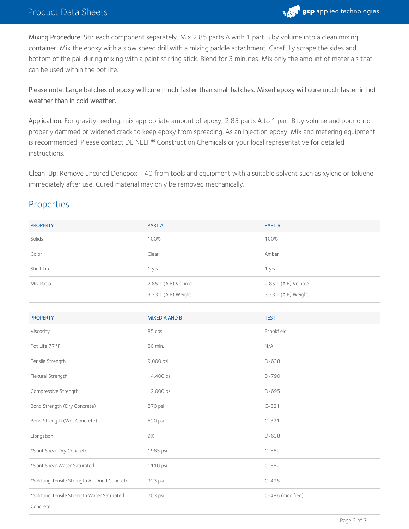

Mixing Procedure: Stir each component separately. Mix 2.85 parts A with 1 part B by volume into a clean mixing container. Mix the epoxy with a slow speed drill with a mixing paddle attachment. Carefully scrape the sides and bottom of the pail during mixing with a paint stirring stick. Blend for 3 minutes. Mix only the amount of materials that can be used within the pot life.

Please note: Large batches of epoxy will cure much faster than small batches. Mixed epoxy will cure much faster in hot weather than in cold weather.

Application: For gravity feeding: mix appropriate amount of epoxy, 2.85 parts A to 1 part B by volume and pour onto properly dammed or widened crack to keep epoxy from spreading. As an injection epoxy: Mix and metering equipment is recommended. Please contact DE NEEF® Construction Chemicals or your local representative for detailed instructions.

Clean-Up: Remove uncured Denepox I-40 from tools and equipment with a suitable solvent such as xylene or toluene immediately after use. Cured material may only be removed mechanically.

#### Properties

| <b>PROPERTY</b>                                | <b>PART A</b>        | <b>PART B</b>       |
|------------------------------------------------|----------------------|---------------------|
| Solids                                         | 100%                 | 100%                |
| Color                                          | Clear                | Amber               |
| Shelf Life                                     | 1 year               | 1 year              |
| Mix Ratio                                      | 2.85:1 (A:B) Volume  | 2.85:1 (A:B) Volume |
|                                                | 3.33:1 (A:B) Weight  | 3.33:1 (A:B) Weight |
|                                                |                      |                     |
| <b>PROPERTY</b>                                | <b>MIXED A AND B</b> | <b>TEST</b>         |
| Viscosity                                      | 85 cps               | Brookfield          |
| Pot Life 77°F                                  | 80 min.              | N/A                 |
| Tensile Strength                               | 9,000 psi            | $D-638$             |
| Flexural Strength                              | 14,400 psi           | $D-790$             |
| Compressive Strength                           | 12,000 psi           | $D-695$             |
| Bond Strength (Dry Concrete)                   | 870 psi              | $C - 321$           |
| Bond Strength (Wet Concrete)                   | 520 psi              | $C - 321$           |
| Elongation                                     | $9%$                 | D-638               |
| *Slant Shear Dry Concrete                      | 1985 psi             | $C-882$             |
| *Slant Shear Water Saturated                   | 1110 psi             | $C-882$             |
| *Splitting Tensile Strength Air Dried Concrete | 923 psi              | $C - 496$           |
| *Splitting Tensile Strength Water Saturated    | 703 psi              | C-496 (modified)    |
| Concrete                                       |                      |                     |